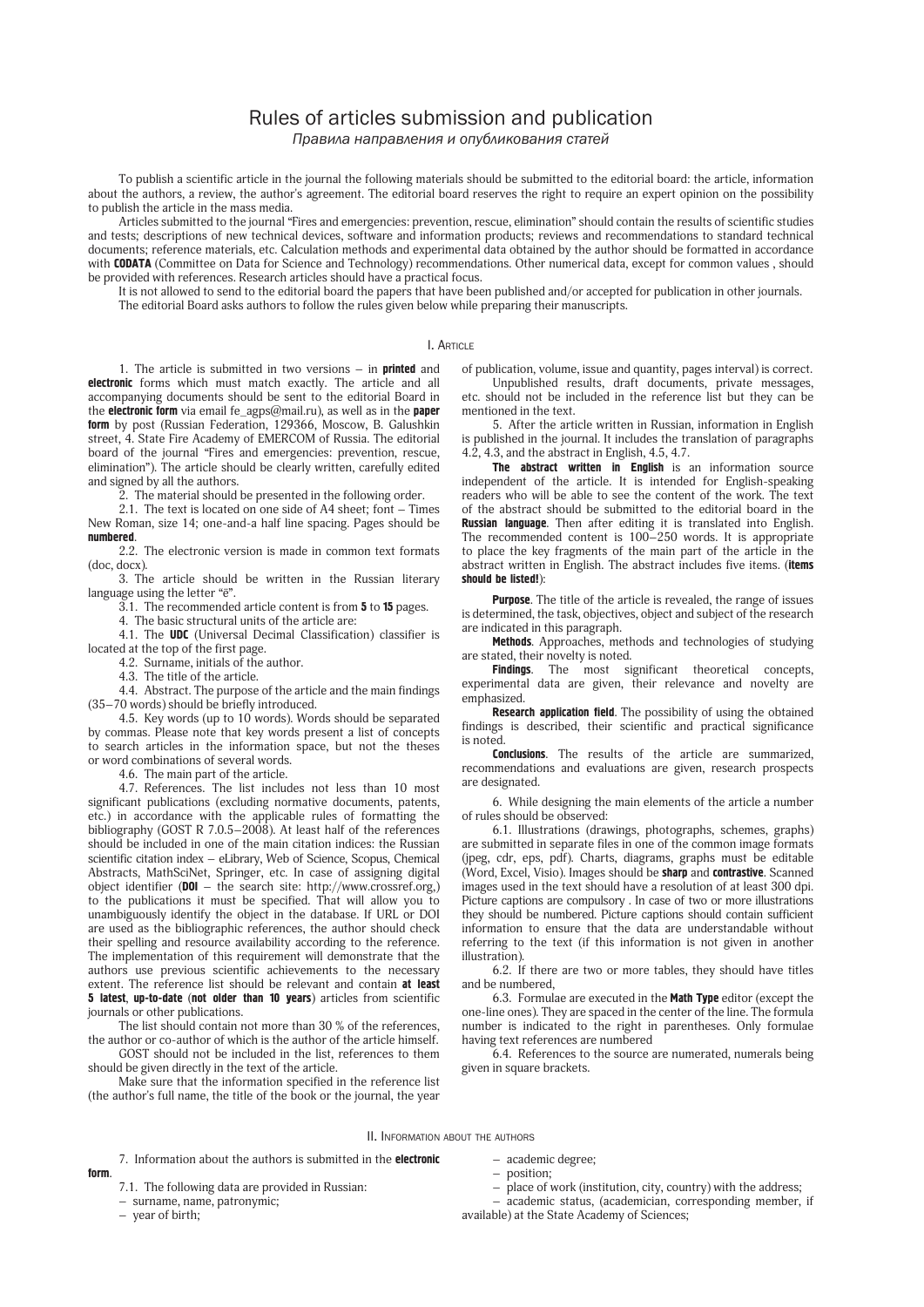## Rules of articles submission and publication *Правила направления и опубликования статей*

To publish a scientific article in the journal the following materials should be submitted to the editorial board: the article, information about the authors, a review, the author's agreement. The editorial board reserves the right to require an expert opinion on the possibility to publish the article in the mass media.

Articles submitted to the journal "Fires and emergencies: prevention, rescue, elimination" should contain the results of scientific studies and tests; descriptions of new technical devices, software and information products; reviews and recommendations to standard technical documents; reference materials, etc. Calculation methods and experimental data obtained by the author should be formatted in accordance with CODATA (Committee on Data for Science and Technology) recommendations. Other numerical data, except for common values, should be provided with references. Research articles should have a practical focus.

It is not allowed to send to the editorial board the papers that have been published and/or accepted for publication in other journals. The editorial Board asks authors to follow the rules given below while preparing their manuscripts.

## I. Article

1. The article is submitted in two versions  $-$  in **printed** and electronic forms which must match exactly. The article and all accompanying documents should be sent to the editorial Board in the **electronic form** via email fe\_agps@mail.ru), as well as in the paper form by post (Russian Federation, 129366, Moscow, B. Galushkin street, 4. State Fire Academy of EMERCOM of Russia. The editorial board of the journal "Fires and emergencies: prevention, rescue, elimination"). The article should be clearly written, carefully edited and signed by all the authors.

2. The material should be presented in the following order.

2.1. The text is located on one side of A4 sheet; font  $-$  Times New Roman, size 14; one-and-a half line spacing. Pages should be numbered.

2.2. The electronic version is made in common text formats (doc, docx).

3. The article should be written in the Russian literary language using the letter "ё".

 $\overline{3.1}$ . The recommended article content is from **5** to **15** pages.

4. The basic structural units of the article are:

4.1. The UDC (Universal Decimal Classification) classifier is located at the top of the first page.

4.2. Surname, initials of the author.

4.3. The title of the article.

4.4. Abstract. The purpose of the article and the main findings (35–70 words) should be briefly introduced.

4.5. Key words (up to 10 words). Words should be separated by commas. Please note that key words present a list of concepts to search articles in the information space, but not the theses or word combinations of several words.

4.6. The main part of the article.

4.7. References. The list includes not less than 10 most significant publications (excluding normative documents, patents, etc.) in accordance with the applicable rules of formatting the bibliography (GOST R 7.0.5–2008). At least half of the references should be included in one of the main citation indices: the Russian scientific citation index – eLibrary, Web of Science, Scopus, Chemical Abstracts, MathSciNet, Springer, etc. In case of assigning digital object identifier (DOI – the search site: http://www.crossref.org,) to the publications it must be specified. That will allow you to unambiguously identify the object in the database. If URL or DOI are used as the bibliographic references, the author should check their spelling and resource availability according to the reference. The implementation of this requirement will demonstrate that the authors use previous scientific achievements to the necessary extent. The reference list should be relevant and contain at least 5 latest, up-to-date (not older than 10 years) articles from scientific journals or other publications.

The list should contain not more than 30 % of the references, the author or co-author of which is the author of the article himself.

GOST should not be included in the list, references to them should be given directly in the text of the article.

Make sure that the information specified in the reference list (the author's full name, the title of the book or the journal, the year of publication, volume, issue and quantity, pages interval) is correct.

Unpublished results, draft documents, private messages, etc. should not be included in the reference list but they can be mentioned in the text.

5. After the article written in Russian, information in English is published in the journal. It includes the translation of paragraphs 4.2, 4.3, and the abstract in English, 4.5, 4.7.

The abstract written in English is an information source independent of the article. It is intended for English-speaking readers who will be able to see the content of the work. The text of the abstract should be submitted to the editorial board in the Russian language. Then after editing it is translated into English. The recommended content is 100–250 words. It is appropriate to place the key fragments of the main part of the article in the abstract written in English. The abstract includes five items. (items should be listed!):

Purpose. The title of the article is revealed, the range of issues is determined, the task, objectives, object and subject of the research are indicated in this paragraph.

Methods. Approaches, methods and technologies of studying are stated, their novelty is noted.

Findings. The most significant theoretical concepts, experimental data are given, their relevance and novelty are emphasized.

Research application field. The possibility of using the obtained findings is described, their scientific and practical significance is noted.

Conclusions. The results of the article are summarized, recommendations and evaluations are given, research prospects are designated.

6. While designing the main elements of the article a number of rules should be observed:

6.1. Illustrations (drawings, photographs, schemes, graphs) are submitted in separate files in one of the common image formats (jpeg, cdr, eps, pdf). Charts, diagrams, graphs must be editable (Word, Excel, Visio). Images should be sharp and contrastive. Scanned images used in the text should have a resolution of at least 300 dpi. Picture captions are compulsory . In case of two or more illustrations they should be numbered. Picture captions should contain sufficient information to ensure that the data are understandable without referring to the text (if this information is not given in another illustration).

6.2. If there are two or more tables, they should have titles and be numbered,

6.3. Formulae are executed in the Math Type editor (except the one-line ones). They are spaced in the center of the line. The formula number is indicated to the right in parentheses. Only formulae having text references are numbered

6.4. References to the source are numerated, numerals being given in square brackets.

II. Information about the authors

7. Information about the authors is submitted in the **electronic** 

7.1. The following data are provided in Russian:

– surname, name, patronymic;

– year of birth;

form.

– academic degree;

– position;

– place of work (institution, city, country) with the address;

– academic status, (academician, corresponding member, if available) at the State Academy of Sciences;